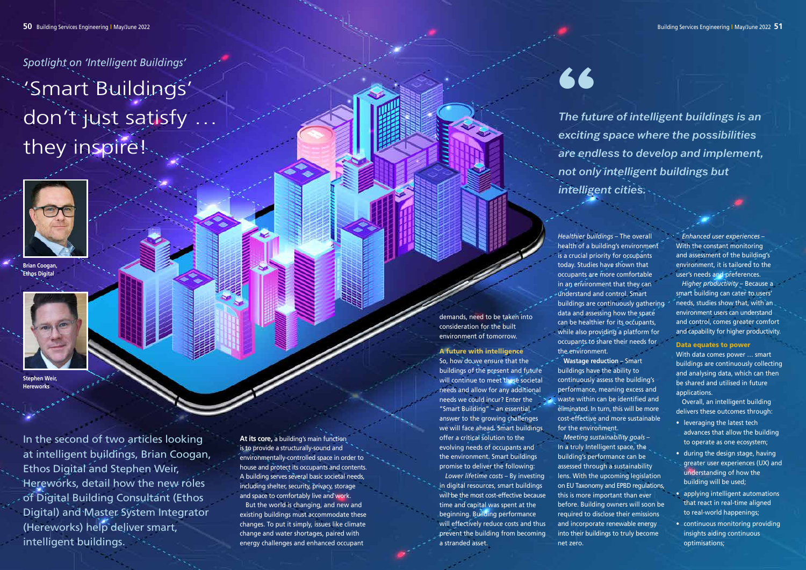**At its core,** a building's main function is to provide a structurally-sound and environmentally-controlled space in order to house and protect its occupants and contents. A building serves several basic societal needs, including shelter, security, privacy, storage and space to comfortably live and work.

But the world is changing, and new and existing buildings must accommodate these changes. To put it simply, issues like climate change and water shortages, paired with energy challenges and enhanced occupant

demands, need to be taken into consideration for the built environment of tomorrow.

## A future with intelligence

So, how do we ensure that the buildings of the present and future will continue to meet these societal needs and allow for any additional needs we could incur? Enter the "Smart Building" – an essential answer to the growing challenges we will face ahead. Smart buildings offer a critical solution to the evolving needs of occupants and the environment. Smart buildings promise to deliver the following: *Lower lifetime costs* – By investing in digital resources, smart buildings will be the most cost-effective because time and capital was spent at the beginning. Building performance will effectively reduce costs and thus prevent the building from becoming a stranded asset.

*Higher productivity* – Because a smart building can cater to users' needs, studies show that, with an environment users can understand and control, comes greater comfort and capability for higher productivity.

*Healthier buildings* – The overall health of a building's environment is a crucial priority for occupants today. Studies have shown that occupants are more comfortable in an environment that they can understand and control. Smart buildings are continuously gathering data and assessing how the space can be healthier for its occupants, while also providing a platform for occupants to share their needs for the environment. **Wastage reduction** – Smart buildings have the ability to continuously assess the building's performance, meaning excess and waste within can be identified and eliminated. In turn, this will be more cost-effective and more sustainable for the environment.



**Brian Coogan Ethos Digital** 

**Stephen Weir, Haraworks** 



*The future of intelligent buildings is an exciting space where the possibilities are endless to develop and implement, not only intelligent buildings but intelligent cities.*   $^{\bullet}$   $^{\bullet}$   $^{\bullet}$   $^{\bullet}$  Fhe futy<br>exciting

*Meeting sustainability goals* – In a truly Intelligent space, the building's performance can be assessed through a sustainability this is more important than ever net zero.

lens. With the upcoming legislation on EU Taxonomy and EPBD regulations, before. Building owners will soon be required to disclose their emissions and incorporate renewable energy into their buildings to truly become

*Enhanced user experiences* – With the constant monitoring and assessment of the building's environment, it is tailored to the user's needs and preferences.

## Data equates to power

With data comes power … smart buildings are continuously collecting and analysing data, which can then be shared and utilised in future applications.

Overall, an intelligent building delivers these outcomes through:

- leveraging the latest tech advances that allow the building to operate as one ecosystem;
- during the design stage, having greater user experiences (UX) and understanding of how the building will be used;
- applying intelligent automations that react in real-time aligned to real-world happenings;
- continuous monitoring providing insights aiding continuous optimisations;

*Spotlight on 'Intelligent Buildings'* 'Smart Buildings' don't just satisfy they inspire!

In the second of two articles looking at intelligent buildings, Brian Coogan, Ethos Digital and Stephen Weir, Hereworks, detail how the new roles of Digital Building Consultant (Ethos Digital) and Master System Integrator (Hereworks) help deliver smart, intelligent buildings.